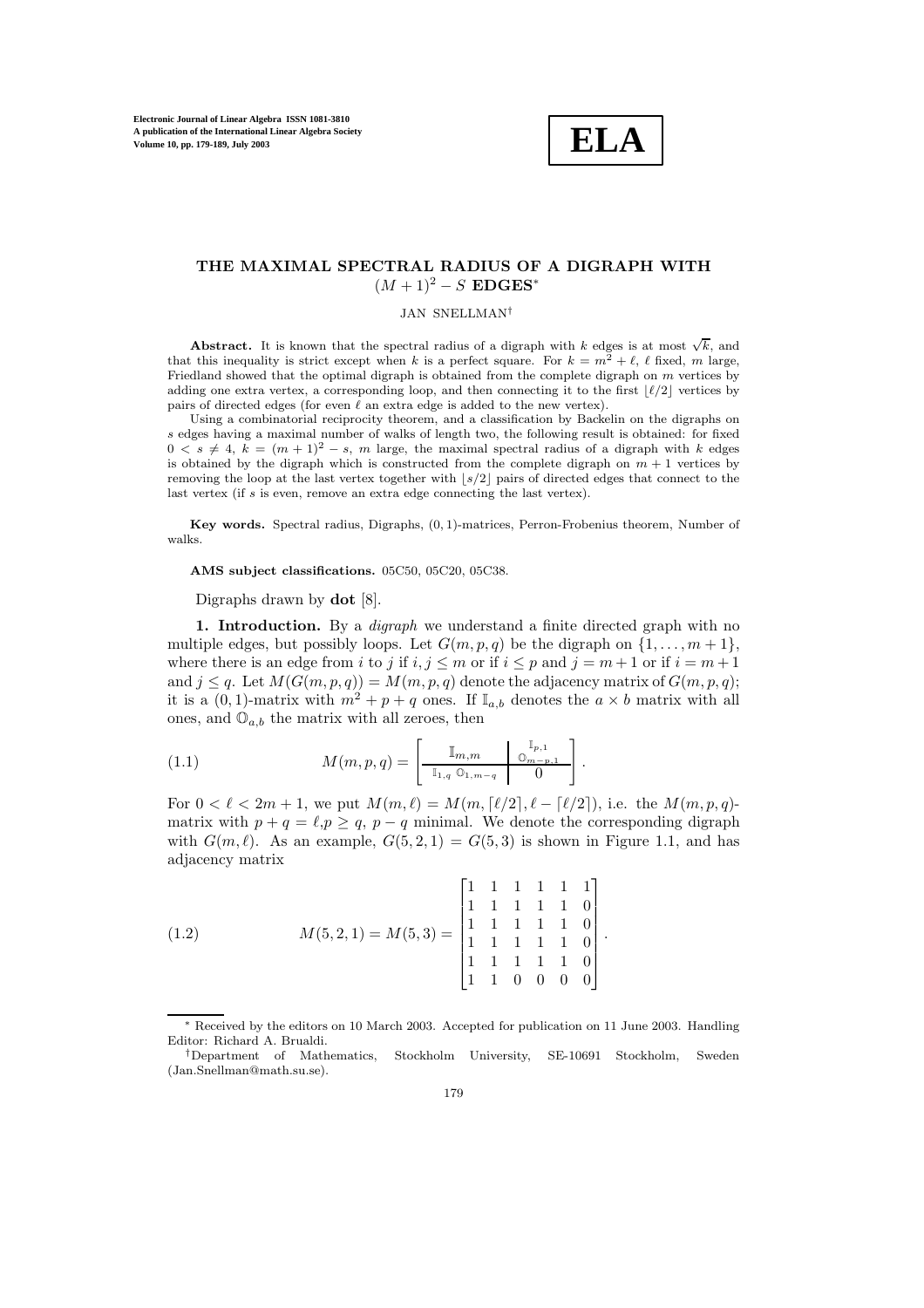

# **THE MAXIMAL SPECTRAL RADIUS OF A DIGRAPH WITH**  $(M + 1)^2 - S$  **EDGES**<sup>\*</sup>

JAN SNELLMAN†

**Abstract.** It is known that the spectral radius of a digraph with k edges is at most  $\sqrt{k}$ , and that this inequality is strict except when k is a perfect square. For  $k = m^2 + \ell$ ,  $\ell$  fixed, m large, Friedland showed that the optimal digraph is obtained from the complete digraph on m vertices by adding one extra vertex, a corresponding loop, and then connecting it to the first  $\lfloor \ell/2 \rfloor$  vertices by pairs of directed edges (for even  $\ell$  an extra edge is added to the new vertex).

Using a combinatorial reciprocity theorem, and a classification by Backelin on the digraphs on s edges having a maximal number of walks of length two, the following result is obtained: for fixed  $0 \leq s \neq 4$ ,  $k = (m + 1)^2 - s$ , m large, the maximal spectral radius of a digraph with k edges is obtained by the digraph which is constructed from the complete digraph on  $m + 1$  vertices by removing the loop at the last vertex together with  $\lfloor s/2 \rfloor$  pairs of directed edges that connect to the last vertex (if s is even, remove an extra edge connecting the last vertex).

**Key words.** Spectral radius, Digraphs, (0, 1)-matrices, Perron-Frobenius theorem, Number of walks.

**AMS subject classifications.** 05C50, 05C20, 05C38.

Digraphs drawn by **dot** [8].

**1. Introduction.** By a *digraph* we understand a finite directed graph with no multiple edges, but possibly loops. Let  $G(m, p, q)$  be the digraph on  $\{1, \ldots, m+1\}$ , where there is an edge from i to j if  $i, j \leq m$  or if  $i \leq p$  and  $j = m + 1$  or if  $i = m + 1$ and  $j \leq q$ . Let  $M(G(m, p, q)) = M(m, p, q)$  denote the adjacency matrix of  $G(m, p, q)$ ; it is a  $(0, 1)$ -matrix with  $m^2 + p + q$  ones. If  $\mathbb{I}_{a,b}$  denotes the  $a \times b$  matrix with all ones, and  $\mathbb{O}_{a,b}$  the matrix with all zeroes, then

(1.1) 
$$
M(m, p, q) = \begin{bmatrix} \mathbb{I}_{m,m} & \mathbb{I}_{p,1} \\ \frac{\mathbb{I}_{m,m}}{\mathbb{I}_{1,q} \mathbb{O}_{1,m-q}} & 0 \end{bmatrix}.
$$

For  $0 < \ell < 2m + 1$ , we put  $M(m, \ell) = M(m, \lceil \ell/2 \rceil, \ell - \lceil \ell/2 \rceil)$ , i.e. the  $M(m, p, q)$ matrix with  $p + q = \ell, p \ge q$ ,  $p - q$  minimal. We denote the corresponding digraph with  $G(m, \ell)$ . As an example,  $G(5, 2, 1) = G(5, 3)$  is shown in Figure 1.1, and has adjacency matrix

(1.2) 
$$
M(5,2,1) = M(5,3) = \begin{bmatrix} 1 & 1 & 1 & 1 & 1 \\ 1 & 1 & 1 & 1 & 1 \\ 1 & 1 & 1 & 1 & 1 \\ 1 & 1 & 1 & 1 & 1 \\ 1 & 1 & 1 & 1 & 1 \\ 1 & 1 & 0 & 0 & 0 \end{bmatrix}.
$$

<sup>∗</sup> Received by the editors on 10 March 2003.Accepted for publication on 11 June 2003.Handling Editor: Richard A.Brualdi.

<sup>†</sup>Department of Mathematics, Stockholm University, SE-10691 Stockholm, Sweden (Jan.Snellman@math.su.se).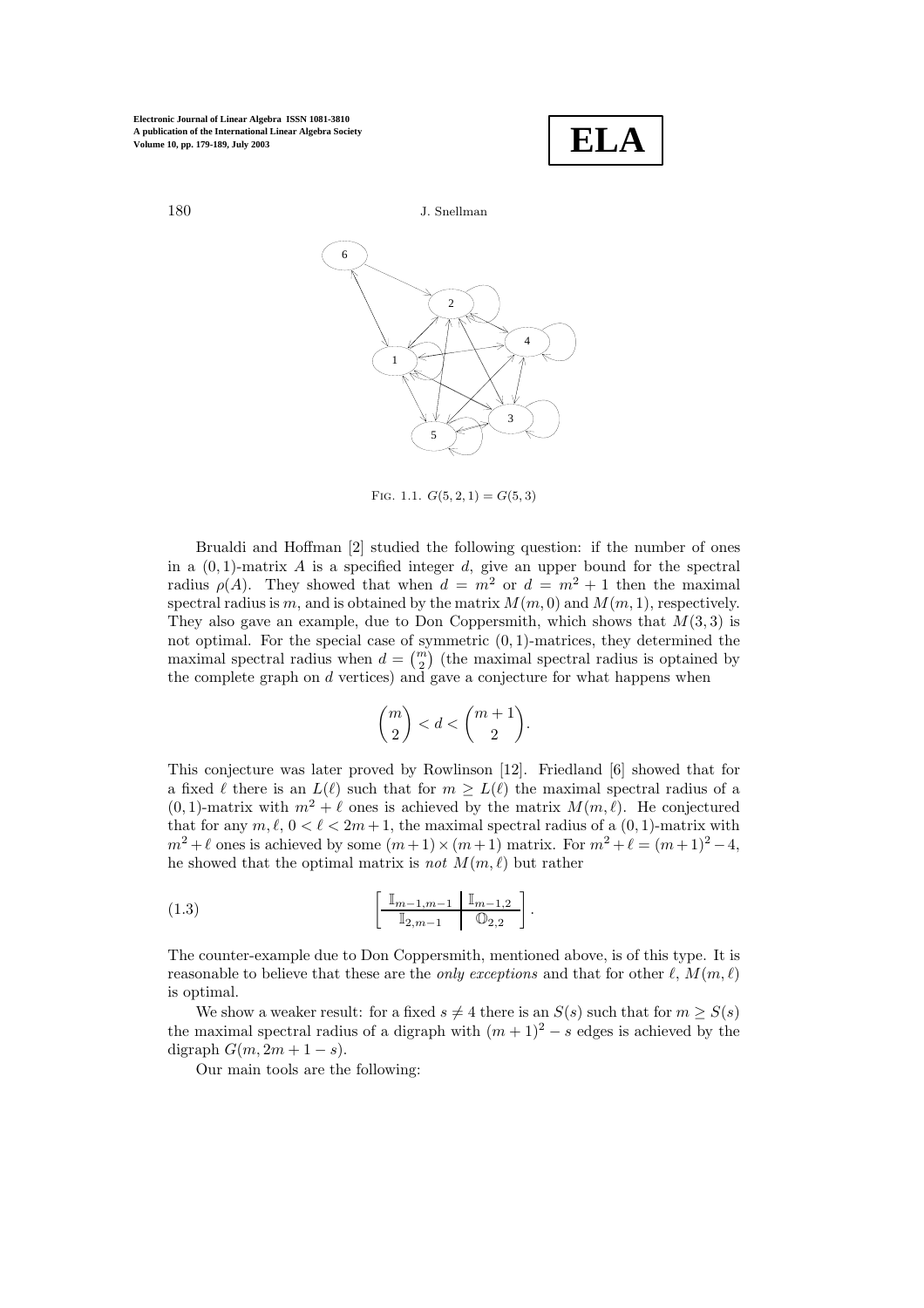



FIG. 1.1.  $G(5, 2, 1) = G(5, 3)$ 

Brualdi and Hoffman [2] studied the following question: if the number of ones in a  $(0, 1)$ -matrix A is a specified integer d, give an upper bound for the spectral radius  $\rho(A)$ . They showed that when  $d = m^2$  or  $d = m^2 + 1$  then the maximal spectral radius is m, and is obtained by the matrix  $M(m, 0)$  and  $M(m, 1)$ , respectively. They also gave an example, due to Don Coppersmith, which shows that  $M(3,3)$  is not optimal. For the special case of symmetric (0, 1)-matrices, they determined the maximal spectral radius when  $d = \binom{m}{2}$  (the maximal spectral radius is optained by the complete graph on  $d$  vertices) and gave a conjecture for what happens when

$$
\binom{m}{2}
$$

This conjecture was later proved by Rowlinson [12]. Friedland [6] showed that for a fixed  $\ell$  there is an  $L(\ell)$  such that for  $m \ge L(\ell)$  the maximal spectral radius of a  $(0, 1)$ -matrix with  $m^2 + \ell$  ones is achieved by the matrix  $M(m, \ell)$ . He conjectured that for any  $m, \ell, 0 \leq \ell \leq 2m+1$ , the maximal spectral radius of a  $(0, 1)$ -matrix with  $m^2 + \ell$  ones is achieved by some  $(m+1) \times (m+1)$  matrix. For  $m^2 + \ell = (m+1)^2 - 4$ , he showed that the optimal matrix is *not*  $M(m, \ell)$  but rather

(1.3) 
$$
\left[\begin{array}{c|c}\mathbb{I}_{m-1,m-1} & \mathbb{I}_{m-1,2} \\
\hline \mathbb{I}_{2,m-1} & \mathbb{O}_{2,2}\end{array}\right].
$$

The counter-example due to Don Coppersmith, mentioned above, is of this type. It is reasonable to believe that these are the *only exceptions* and that for other  $\ell$ ,  $M(m, \ell)$ is optimal.

We show a weaker result: for a fixed  $s \neq 4$  there is an  $S(s)$  such that for  $m \geq S(s)$ the maximal spectral radius of a digraph with  $(m + 1)^2 - s$  edges is achieved by the digraph  $G(m, 2m + 1 - s)$ .

Our main tools are the following: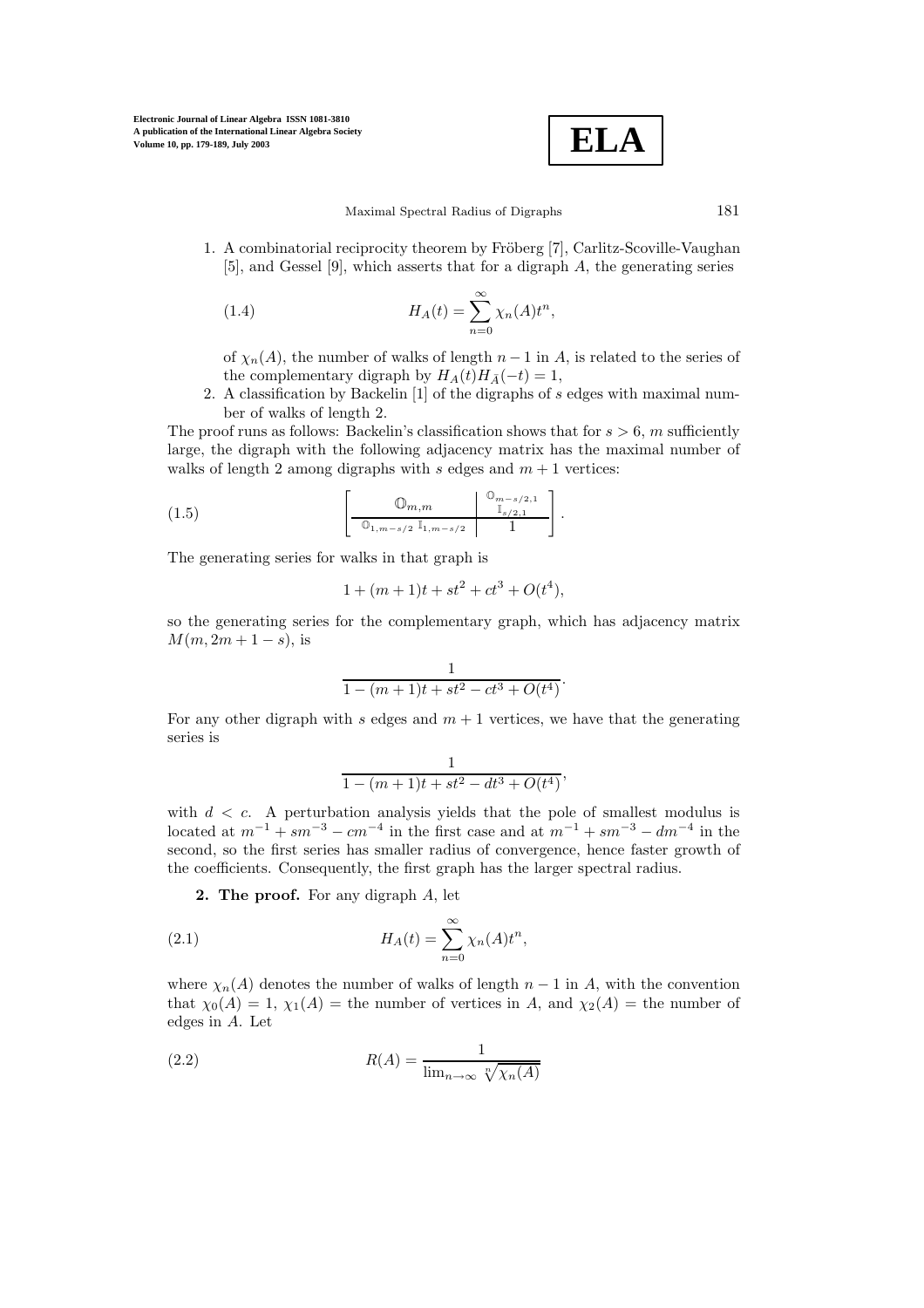$$
\boxed{\textbf{ELA}}
$$

1. A combinatorial reciprocity theorem by Fröberg [7], Carlitz-Scoville-Vaughan [5], and Gessel [9], which asserts that for a digraph A, the generating series

(1.4) 
$$
H_A(t) = \sum_{n=0}^{\infty} \chi_n(A) t^n,
$$

of  $\chi_n(A)$ , the number of walks of length  $n-1$  in A, is related to the series of the complementary digraph by  $H_A(t)H_{\bar{A}}(-t) = 1$ ,

2. A classification by Backelin [1] of the digraphs of s edges with maximal number of walks of length 2.

The proof runs as follows: Backelin's classification shows that for  $s > 6$ , m sufficiently large, the digraph with the following adjacency matrix has the maximal number of walks of length 2 among digraphs with s edges and  $m + 1$  vertices:

(1.5) 
$$
\left[\begin{array}{c|c}\n\mathbb{O}_{m,m} & \mathbb{O}_{m-s/2,1} \\
\hline\n\mathbb{O}_{1,m-s/2} & \mathbb{I}_{1,m-s/2} & 1\n\end{array}\right].
$$

The generating series for walks in that graph is

$$
1 + (m+1)t + st^2 + ct^3 + O(t^4),
$$

so the generating series for the complementary graph, which has adjacency matrix  $M(m, 2m + 1 - s)$ , is

$$
\frac{1}{1-(m+1)t+st^2-ct^3+O(t^4)}.
$$

For any other digraph with s edges and  $m + 1$  vertices, we have that the generating series is

$$
\frac{1}{1-(m+1)t+st^2-dt^3+O(t^4)},
$$

with  $d \leq c$ . A perturbation analysis yields that the pole of smallest modulus is located at  $m^{-1}$  + sm<sup>-3</sup> − cm<sup>-4</sup> in the first case and at  $m^{-1}$  + sm<sup>-3</sup> − dm<sup>-4</sup> in the second, so the first series has smaller radius of convergence, hence faster growth of the coefficients. Consequently, the first graph has the larger spectral radius.

**2. The proof.** For any digraph A, let

(2.1) 
$$
H_A(t) = \sum_{n=0}^{\infty} \chi_n(A) t^n,
$$

where  $\chi_n(A)$  denotes the number of walks of length  $n-1$  in A, with the convention that  $\chi_0(A) = 1$ ,  $\chi_1(A) =$  the number of vertices in A, and  $\chi_2(A) =$  the number of edges in  $A$ . Let

(2.2) 
$$
R(A) = \frac{1}{\lim_{n \to \infty} \sqrt[n]{\chi_n(A)}}
$$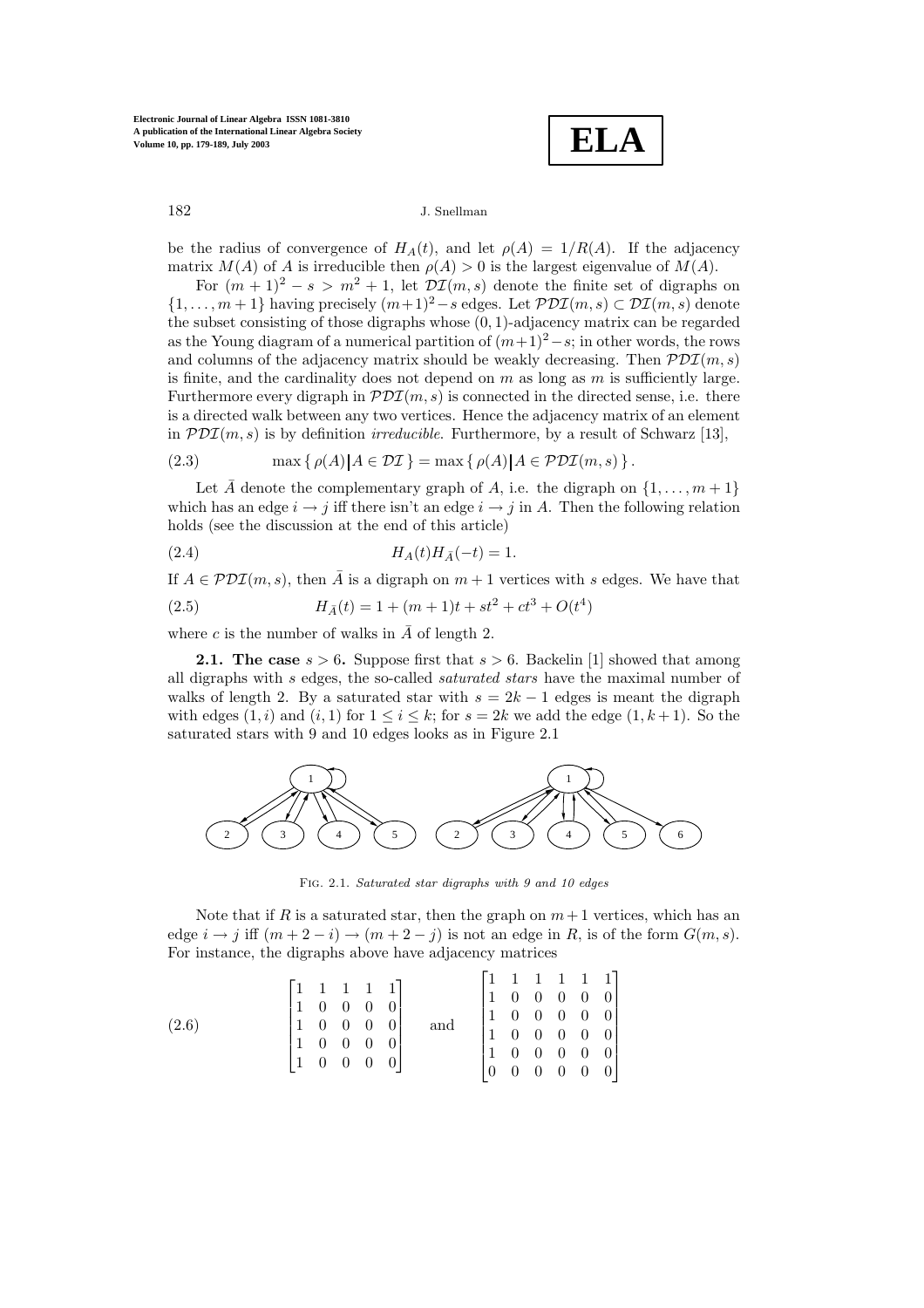**ELA**

182 J.Snellman

be the radius of convergence of  $H_A(t)$ , and let  $\rho(A)=1/R(A)$ . If the adjacency matrix  $M(A)$  of A is irreducible then  $\rho(A) > 0$  is the largest eigenvalue of  $M(A)$ .

For  $(m + 1)^2 - s > m^2 + 1$ , let  $\mathcal{DI}(m, s)$  denote the finite set of digraphs on  $\{1,\ldots,m+1\}$  having precisely  $(m+1)^2-s$  edges. Let  $\mathcal{PDI}(m, s) \subset \mathcal{DI}(m, s)$  denote the subset consisting of those digraphs whose  $(0, 1)$ -adjacency matrix can be regarded as the Young diagram of a numerical partition of  $(m+1)^2 - s$ ; in other words, the rows and columns of the adjacency matrix should be weakly decreasing. Then  $PDI(m, s)$ is finite, and the cardinality does not depend on  $m$  as long as  $m$  is sufficiently large. Furthermore every digraph in  $PDT(m, s)$  is connected in the directed sense, i.e. there is a directed walk between any two vertices. Hence the adjacency matrix of an element in  $PDI(m, s)$  is by definition *irreducible*. Furthermore, by a result of Schwarz [13],

(2.3) 
$$
\max \{ \rho(A) | A \in \mathcal{DI} \} = \max \{ \rho(A) | A \in \mathcal{PDI}(m, s) \}.
$$

Let  $\overline{A}$  denote the complementary graph of A, i.e. the digraph on  $\{1,\ldots,m+1\}$ which has an edge  $i \rightarrow j$  iff there isn't an edge  $i \rightarrow j$  in A. Then the following relation holds (see the discussion at the end of this article)

(2.4) 
$$
H_A(t)H_{\bar{A}}(-t) = 1.
$$

If  $A \in \mathcal{PDI}(m, s)$ , then  $\overline{A}$  is a digraph on  $m+1$  vertices with s edges. We have that

(2.5) 
$$
H_{\bar{A}}(t) = 1 + (m+1)t + st^2 + ct^3 + O(t^4)
$$

where c is the number of walks in  $\overline{A}$  of length 2.

**2.1. The case**  $s > 6$ . Suppose first that  $s > 6$ . Backelin [1] showed that among all digraphs with s edges, the so-called *saturated stars* have the maximal number of walks of length 2. By a saturated star with  $s = 2k - 1$  edges is meant the digraph with edges  $(1, i)$  and  $(i, 1)$  for  $1 \leq i \leq k$ ; for  $s = 2k$  we add the edge  $(1, k + 1)$ . So the saturated stars with 9 and 10 edges looks as in Figure 2.1



Fig. 2.1. Saturated star digraphs with 9 and 10 edges

Note that if R is a saturated star, then the graph on  $m+1$  vertices, which has an edge  $i \rightarrow j$  iff  $(m+2-i) \rightarrow (m+2-j)$  is not an edge in R, is of the form  $G(m, s)$ . For instance, the digraphs above have adjacency matrices

$$
(2.6) \qquad \qquad \begin{bmatrix} 1 & 1 & 1 & 1 & 1 \\ 1 & 0 & 0 & 0 & 0 \\ 1 & 0 & 0 & 0 & 0 \\ 1 & 0 & 0 & 0 & 0 \\ 1 & 0 & 0 & 0 & 0 \end{bmatrix} \quad \text{and} \quad \begin{bmatrix} 1 & 1 & 1 & 1 & 1 \\ 1 & 0 & 0 & 0 & 0 \\ 1 & 0 & 0 & 0 & 0 \\ 1 & 0 & 0 & 0 & 0 \\ 1 & 0 & 0 & 0 & 0 \\ 0 & 0 & 0 & 0 & 0 \end{bmatrix}
$$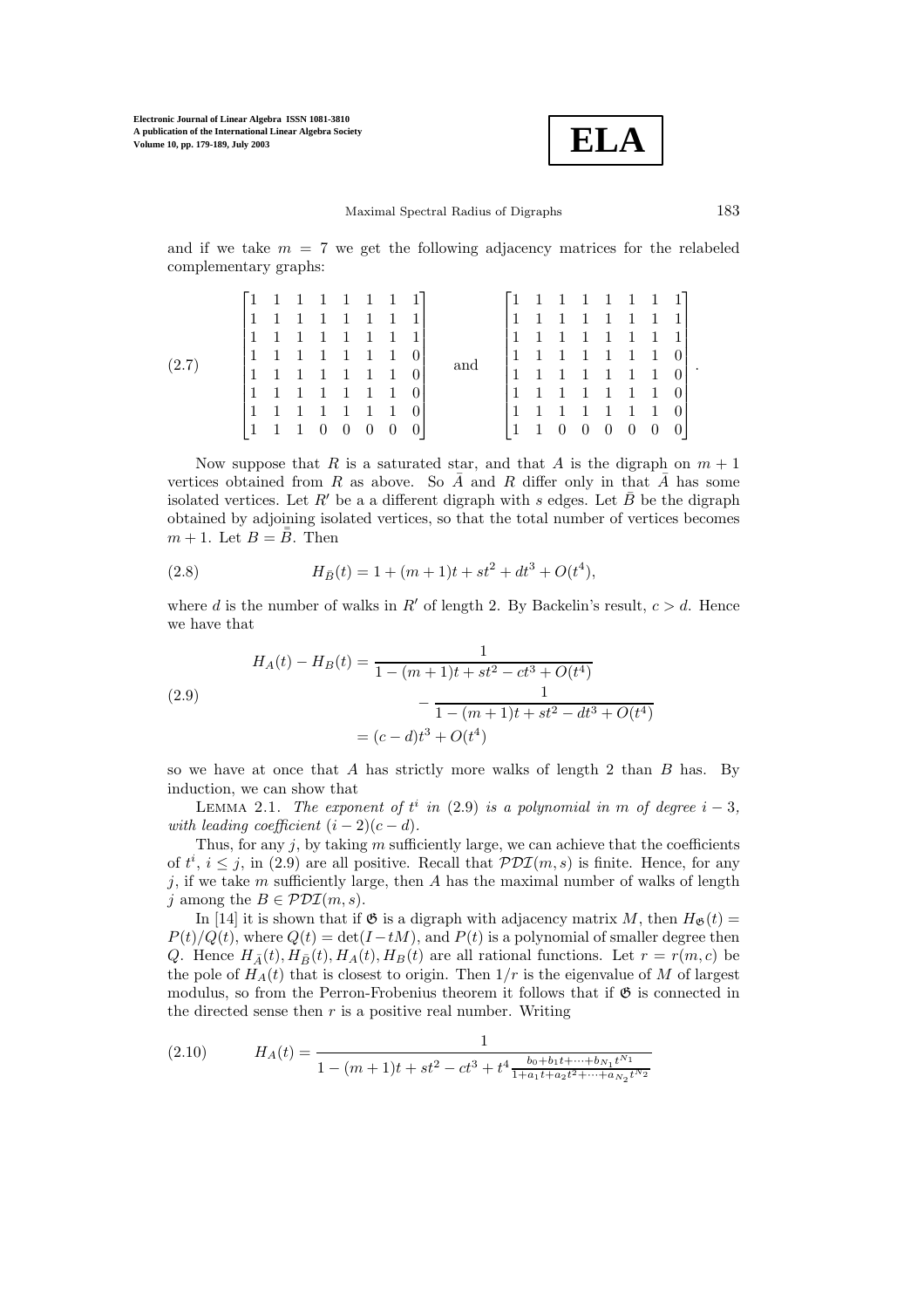

and if we take  $m = 7$  we get the following adjacency matrices for the relabeled complementary graphs:

|       |                | $\begin{bmatrix} 1 & 1 & 1 & 1 & 1 & 1 & 1 & 1 \end{bmatrix}$      |  |                                  |   |     | $\begin{bmatrix} 1 & 1 & 1 & 1 & 1 & 1 & 1 & 1 \end{bmatrix}$      |                   |                |                |  |
|-------|----------------|--------------------------------------------------------------------|--|----------------------------------|---|-----|--------------------------------------------------------------------|-------------------|----------------|----------------|--|
| (2.7) |                | $\begin{array}{ccccccc} 1 & 1 & 1 & 1 & 1 & 1 & 1 & 1 \end{array}$ |  |                                  |   | and | 1 1 1 1 1 1 1 1 1                                                  |                   |                |                |  |
|       |                |                                                                    |  |                                  |   |     | $\begin{array}{ccccccc} 1 & 1 & 1 & 1 & 1 & 1 & 1 & 1 \end{array}$ |                   |                |                |  |
|       |                | 1 1 1 1 1 1 1 0                                                    |  |                                  |   |     | 1 1 1 1 1 1 1 0                                                    |                   |                |                |  |
|       |                | 1 1 1 1 1 1 0                                                      |  |                                  |   |     | $1 \quad 1 \quad 1 \quad 1 \quad 1 \quad 1 \quad 0$                |                   |                |                |  |
|       |                | 1 1 1 1 1 1 1 0                                                    |  |                                  |   |     | 1 1 1 1 1 1 1 0                                                    |                   |                |                |  |
|       |                | 1 1 1 1 1 1 1 0                                                    |  |                                  |   |     | 1 1 1 1 1 1 1 0                                                    |                   |                |                |  |
|       | $\overline{1}$ | 1 0 0 0                                                            |  | $\begin{array}{c} 0 \end{array}$ | 0 |     |                                                                    | $0\quad 0\quad 0$ | $\overline{0}$ | $\overline{0}$ |  |

Now suppose that R is a saturated star, and that A is the digraph on  $m + 1$ vertices obtained from R as above. So  $\overline{A}$  and R differ only in that  $\overline{A}$  has some isolated vertices. Let R' be a a different digraph with s edges. Let  $\bar{B}$  be the digraph obtained by adjoining isolated vertices, so that the total number of vertices becomes  $m+1$ . Let  $B = \overline{\overline{B}}$ . Then

(2.8) 
$$
H_{\bar{B}}(t) = 1 + (m+1)t + st^2 + dt^3 + O(t^4),
$$

where d is the number of walks in R' of length 2. By Backelin's result,  $c > d$ . Hence we have that

(2.9)  
\n
$$
H_A(t) - H_B(t) = \frac{1}{1 - (m+1)t + st^2 - ct^3 + O(t^4)}
$$
\n
$$
-\frac{1}{1 - (m+1)t + st^2 - dt^3 + O(t^4)}
$$
\n
$$
= (c - d)t^3 + O(t^4)
$$

so we have at once that  $A$  has strictly more walks of length 2 than  $B$  has. By induction, we can show that

LEMMA 2.1. *The exponent of*  $t^i$  *in* (2.9) *is a polynomial in* m *of degree*  $i - 3$ *,* leading coefficient  $(i - 2)(c - d)$ *with leading coefficient*  $(i - 2)(c - d)$ *.* 

Thus, for any  $j$ , by taking m sufficiently large, we can achieve that the coefficients of  $t^i$ ,  $i \leq j$ , in (2.9) are all positive. Recall that  $PDI(m, s)$  is finite. Hence, for any j, if we take  $m$  sufficiently large, then  $A$  has the maximal number of walks of length j among the  $B \in \mathcal{PDI}(m, s)$ .

In [14] it is shown that if  $\mathfrak G$  is a digraph with adjacency matrix M, then  $H_{\mathfrak G}(t)$  =  $P(t)/Q(t)$ , where  $Q(t) = \det(I - tM)$ , and  $P(t)$  is a polynomial of smaller degree then Q. Hence  $H_{\bar{A}}(t)$ ,  $H_{\bar{B}}(t)$ ,  $H_{A}(t)$ ,  $H_{B}(t)$  are all rational functions. Let  $r = r(m, c)$  be the pole of  $H_A(t)$  that is closest to origin. Then  $1/r$  is the eigenvalue of M of largest modulus, so from the Perron-Frobenius theorem it follows that if  $\mathfrak G$  is connected in the directed sense then  $r$  is a positive real number. Writing

(2.10) 
$$
H_A(t) = \frac{1}{1 - (m+1)t + st^2 - ct^3 + t^4 \frac{b_0 + b_1 t + \dots + b_{N_1} t^{N_1}}{1 + a_1 t + a_2 t^2 + \dots + a_{N_2} t^{N_2}}}
$$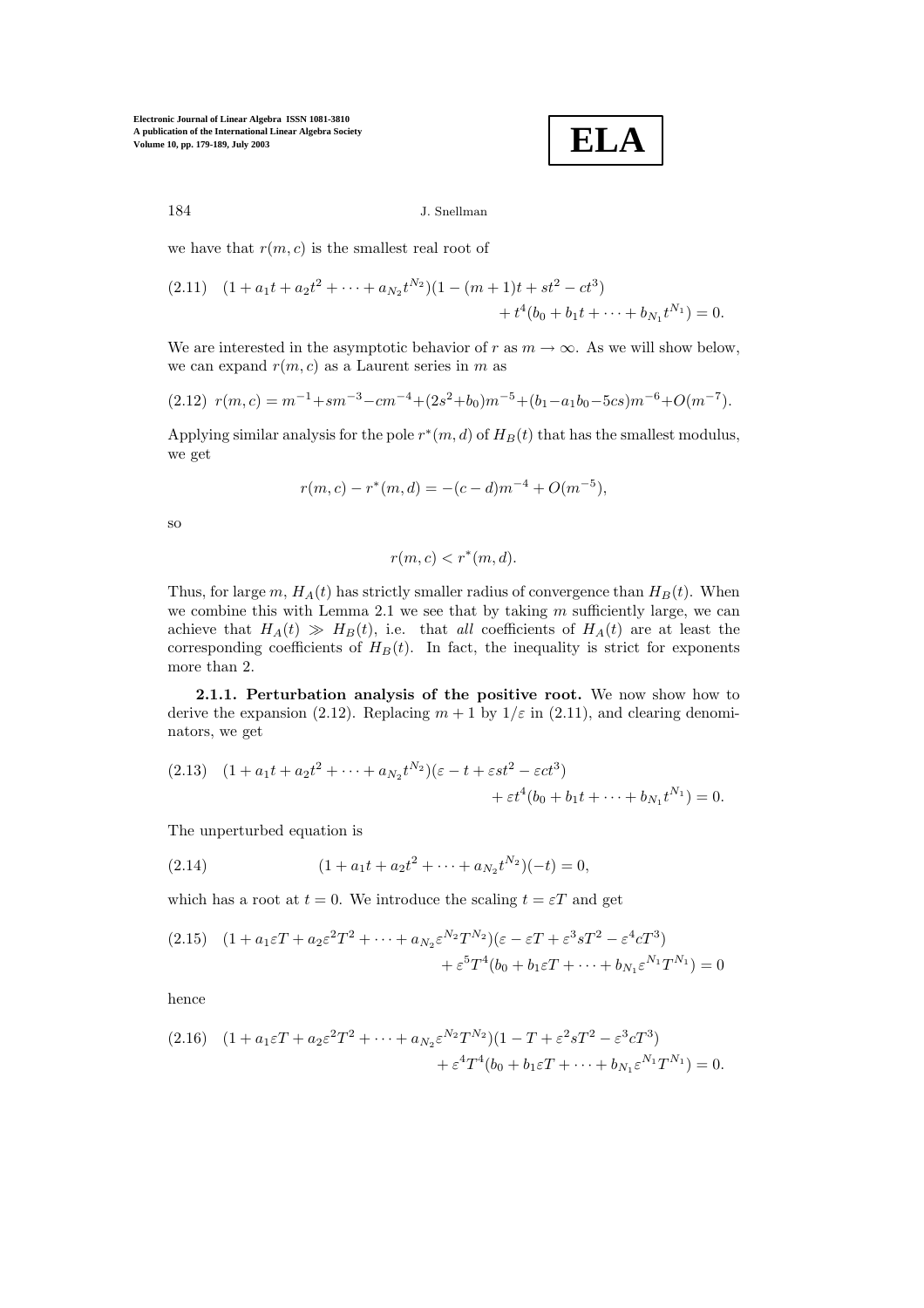**ELA**

### 184 J.Snellman

we have that  $r(m, c)$  is the smallest real root of

$$
(2.11) \quad (1 + a_1t + a_2t^2 + \dots + a_{N_2}t^{N_2})(1 - (m+1)t + st^2 - ct^3) + t^4(b_0 + b_1t + \dots + b_{N_1}t^{N_1}) = 0.
$$

We are interested in the asymptotic behavior of r as  $m \to \infty$ . As we will show below, we can expand  $r(m, c)$  as a Laurent series in m as

$$
(2.12) r(m, c) = m^{-1} + sm^{-3} - cm^{-4} + (2s^2 + b_0)m^{-5} + (b_1 - a_1b_0 - 5cs)m^{-6} + O(m^{-7}).
$$

Applying similar analysis for the pole  $r*(m, d)$  of  $H_B(t)$  that has the smallest modulus, we get

$$
r(m, c) - r^*(m, d) = -(c - d)m^{-4} + O(m^{-5}),
$$

so

$$
r(m, c) < r^*(m, d).
$$

Thus, for large m,  $H_A(t)$  has strictly smaller radius of convergence than  $H_B(t)$ . When we combine this with Lemma  $2.1$  we see that by taking  $m$  sufficiently large, we can achieve that  $H_A(t) \gg H_B(t)$ , i.e. that *all* coefficients of  $H_A(t)$  are at least the corresponding coefficients of  $H_B(t)$ . In fact, the inequality is strict for exponents more than 2.

**2.1.1. Perturbation analysis of the positive root.** We now show how to derive the expansion (2.12). Replacing  $m + 1$  by  $1/\varepsilon$  in (2.11), and clearing denominators, we get

$$
(2.13) \quad (1 + a_1t + a_2t^2 + \dots + a_{N_2}t^{N_2})(\varepsilon - t + \varepsilon st^2 - \varepsilon ct^3) + \varepsilon t^4(b_0 + b_1t + \dots + b_{N_1}t^{N_1}) = 0.
$$

The unperturbed equation is

(2.14) 
$$
(1 + a_1t + a_2t^2 + \cdots + a_{N_2}t^{N_2})(-t) = 0,
$$

which has a root at  $t = 0$ . We introduce the scaling  $t = \varepsilon T$  and get

$$
(2.15) \quad (1 + a_1\varepsilon T + a_2\varepsilon^2 T^2 + \dots + a_{N_2}\varepsilon^{N_2}T^{N_2})(\varepsilon - \varepsilon T + \varepsilon^3 sT^2 - \varepsilon^4 cT^3) + \varepsilon^5 T^4(b_0 + b_1\varepsilon T + \dots + b_{N_1}\varepsilon^{N_1}T^{N_1}) = 0
$$

hence

$$
(2.16) \quad (1 + a_1 \varepsilon T + a_2 \varepsilon^2 T^2 + \dots + a_{N_2} \varepsilon^{N_2} T^{N_2}) (1 - T + \varepsilon^2 s T^2 - \varepsilon^3 c T^3) + \varepsilon^4 T^4 (b_0 + b_1 \varepsilon T + \dots + b_{N_1} \varepsilon^{N_1} T^{N_1}) = 0.
$$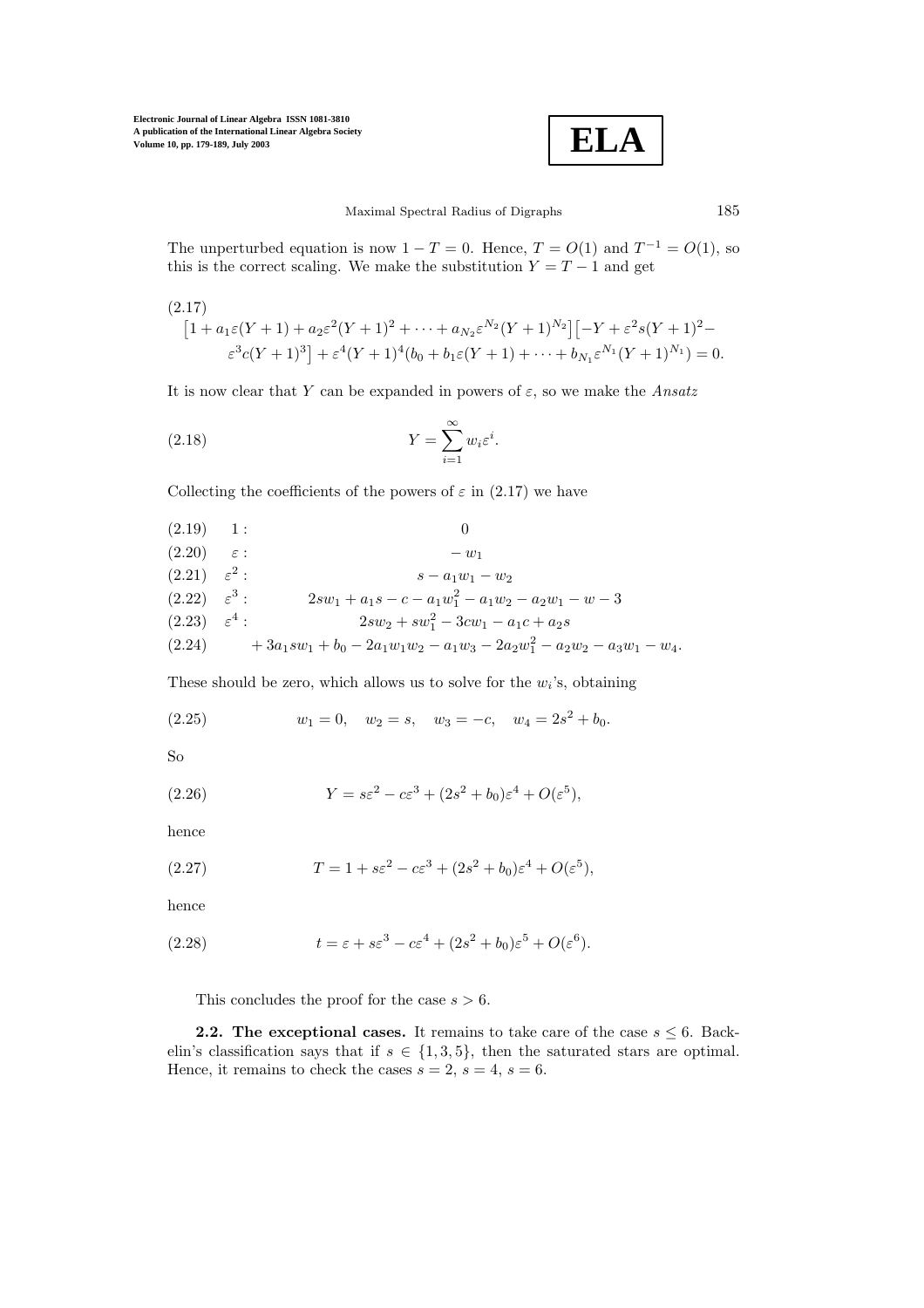

Maximal Spectral Radius of Digraphs 185

The unperturbed equation is now  $1 - T = 0$ . Hence,  $T = O(1)$  and  $T^{-1} = O(1)$ , so this is the correct scaling. We make the substitution  $Y = T - 1$  and get

$$
(2.17)
$$
\n
$$
[1 + a_1\varepsilon(Y+1) + a_2\varepsilon^2(Y+1)^2 + \dots + a_{N_2}\varepsilon^{N_2}(Y+1)^{N_2}] [-Y + \varepsilon^2 s(Y+1)^2 - \varepsilon^3 c(Y+1)^3] + \varepsilon^4 (Y+1)^4 (b_0 + b_1\varepsilon(Y+1) + \dots + b_{N_1}\varepsilon^{N_1}(Y+1)^{N_1}) = 0.
$$

It is now clear that Y can be expanded in powers of  $\varepsilon$ , so we make the *Ansatz* 

(2.18) 
$$
Y = \sum_{i=1}^{\infty} w_i \varepsilon^i.
$$

Collecting the coefficients of the powers of  $\varepsilon$  in (2.17) we have

(2.19) 1:  
\n
$$
\begin{array}{ll}\n(2.20) & \varepsilon: & -w_1 \\
(2.21) & \varepsilon^2: & s - a_1 w_1 - w_2 \\
(2.22) & \varepsilon^3: & 2sw_1 + a_1 s - c - a_1 w_1^2 - a_1 w_2 - a_2 w_1 - w - 3 \\
(2.23) & \varepsilon^4: & 2sw_2 + sw_1^2 - 3cw_1 - a_1 c + a_2 s \\
(2.24) & + 3a_1 sw_1 + b_0 - 2a_1 w_1 w_2 - a_1 w_3 - 2a_2 w_1^2 - a_2 w_2 - a_3 w_1 - w_4.\n\end{array}
$$

These should be zero, which allows us to solve for the  $w_i$ 's, obtaining

(2.25) 
$$
w_1 = 0
$$
,  $w_2 = s$ ,  $w_3 = -c$ ,  $w_4 = 2s^2 + b_0$ .

So

(2.26) 
$$
Y = s\varepsilon^2 - c\varepsilon^3 + (2s^2 + b_0)\varepsilon^4 + O(\varepsilon^5),
$$

hence

(2.27) 
$$
T = 1 + s\varepsilon^2 - c\varepsilon^3 + (2s^2 + b_0)\varepsilon^4 + O(\varepsilon^5),
$$

hence

(2.28) 
$$
t = \varepsilon + s\varepsilon^3 - c\varepsilon^4 + (2s^2 + b_0)\varepsilon^5 + O(\varepsilon^6).
$$

This concludes the proof for the case  $s > 6$ .

**2.2. The exceptional cases.** It remains to take care of the case  $s \leq 6$ . Backelin's classification says that if  $s \in \{1,3,5\}$ , then the saturated stars are optimal. Hence, it remains to check the cases  $s = 2$ ,  $s = 4$ ,  $s = 6$ .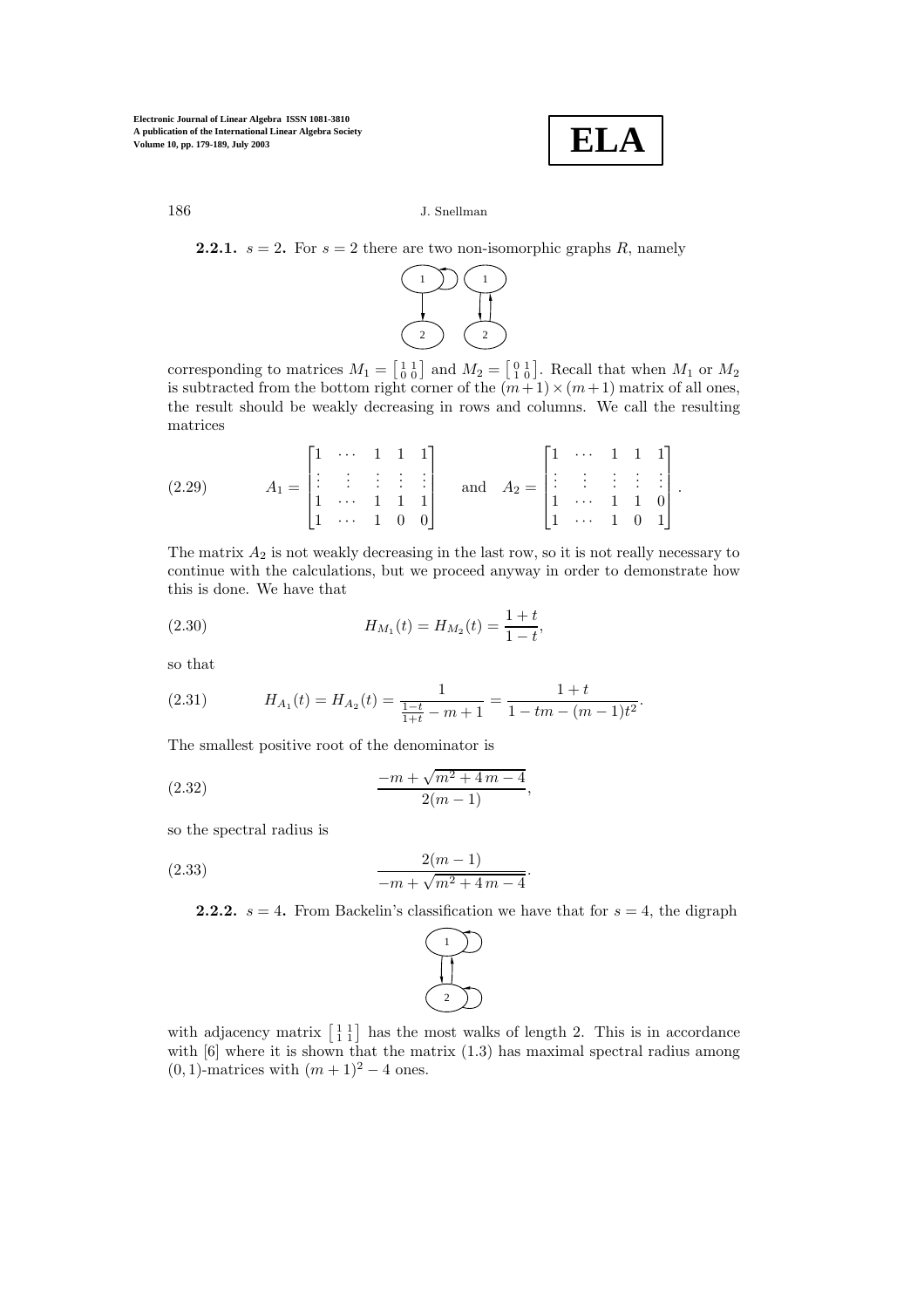**ELA**

## 186 J.Snellman

**2.2.1.**  $s = 2$ . For  $s = 2$  there are two non-isomorphic graphs R, namely



corresponding to matrices  $M_1 = \begin{bmatrix} 1 & 1 \\ 0 & 0 \end{bmatrix}$  and  $M_2 = \begin{bmatrix} 0 & 1 \\ 1 & 0 \end{bmatrix}$ . Recall that when  $M_1$  or  $M_2$ is subtracted from the bottom right corner of the  $(m+1)\times(m+1)$  matrix of all ones, the result should be weakly decreasing in rows and columns. We call the resulting matrices

(2.29) 
$$
A_1 = \begin{bmatrix} 1 & \cdots & 1 & 1 & 1 \\ \vdots & \vdots & \vdots & \vdots & \vdots \\ 1 & \cdots & 1 & 1 & 1 \\ 1 & \cdots & 1 & 0 & 0 \end{bmatrix}
$$
 and  $A_2 = \begin{bmatrix} 1 & \cdots & 1 & 1 & 1 \\ \vdots & \vdots & \vdots & \vdots & \vdots \\ 1 & \cdots & 1 & 1 & 0 \\ 1 & \cdots & 1 & 0 & 1 \end{bmatrix}$ .

The matrix  $A_2$  is not weakly decreasing in the last row, so it is not really necessary to continue with the calculations, but we proceed anyway in order to demonstrate how this is done. We have that

(2.30) 
$$
H_{M_1}(t) = H_{M_2}(t) = \frac{1+t}{1-t},
$$

so that

(2.31) 
$$
H_{A_1}(t) = H_{A_2}(t) = \frac{1}{\frac{1-t}{1+t} - m + 1} = \frac{1+t}{1 - tm - (m-1)t^2}.
$$

The smallest positive root of the denominator is

(2.32) 
$$
\frac{-m + \sqrt{m^2 + 4m - 4}}{2(m-1)},
$$

so the spectral radius is

(2.33) 
$$
\frac{2(m-1)}{-m+\sqrt{m^2+4m-4}}
$$

**2.2.2.**  $s = 4$ . From Backelin's classification we have that for  $s = 4$ , the digraph

.



with adjacency matrix  $\begin{bmatrix} 1 & 1 \\ 1 & 1 \end{bmatrix}$  has the most walks of length 2. This is in accordance with  $[6]$  where it is shown that the matrix  $(1.3)$  has maximal spectral radius among  $(0, 1)$ -matrices with  $(m + 1)^2 - 4$  ones.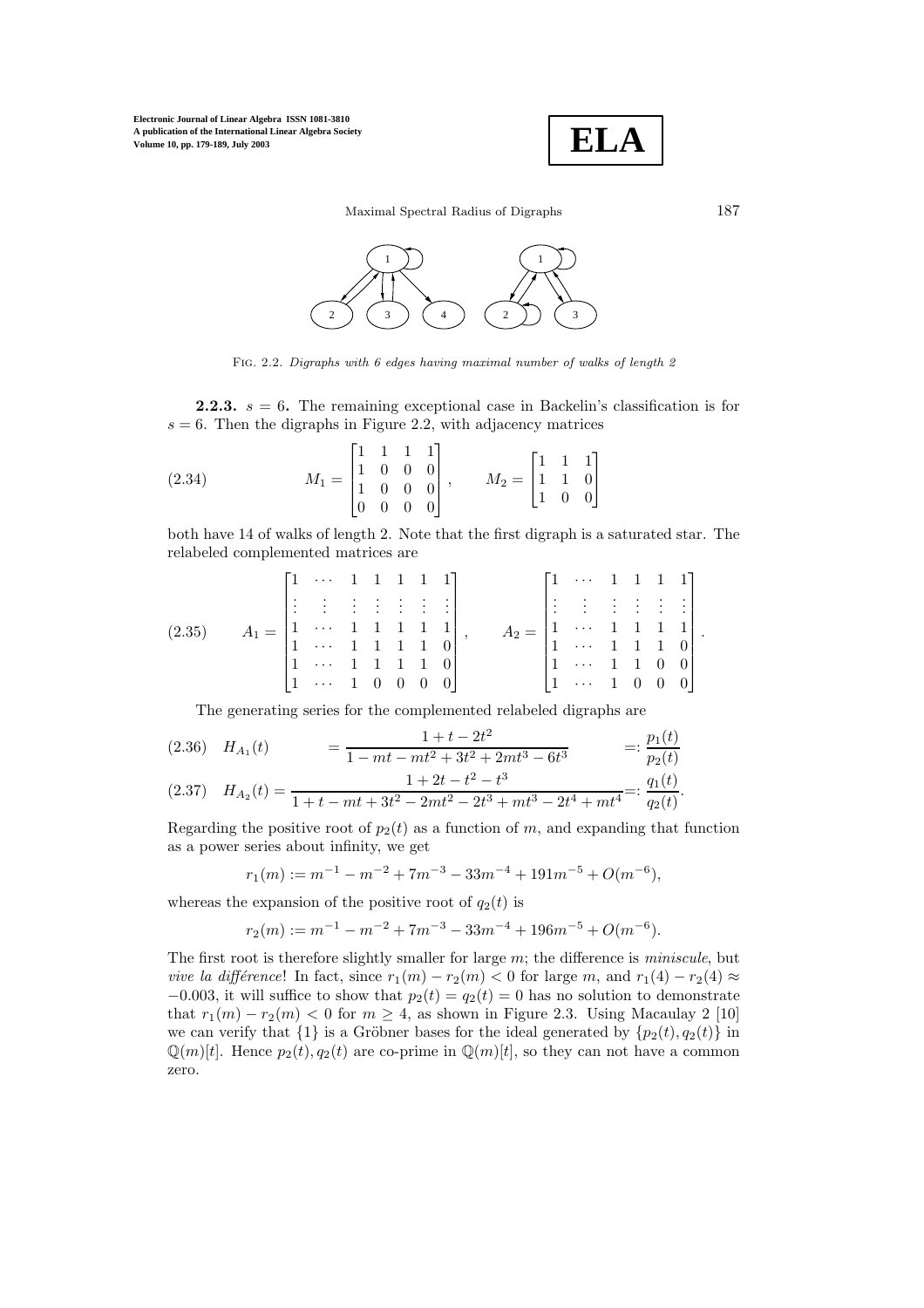

Maximal Spectral Radius of Digraphs 187



Fig. 2.2. Digraphs with 6 edges having maximal number of walks of length 2

**2.2.3.**  $s = 6$ . The remaining exceptional case in Backelin's classification is for  $s = 6$ . Then the digraphs in Figure 2.2, with adjacency matrices

(2.34) 
$$
M_1 = \begin{bmatrix} 1 & 1 & 1 & 1 \\ 1 & 0 & 0 & 0 \\ 1 & 0 & 0 & 0 \\ 0 & 0 & 0 & 0 \end{bmatrix}, \qquad M_2 = \begin{bmatrix} 1 & 1 & 1 \\ 1 & 1 & 0 \\ 1 & 0 & 0 \end{bmatrix}
$$

both have 14 of walks of length 2. Note that the first digraph is a saturated star. The relabeled complemented matrices are

$$
(2.35) \qquad A_1 = \begin{bmatrix} 1 & \cdots & 1 & 1 & 1 & 1 & 1 \\ \vdots & \vdots & \vdots & \vdots & \vdots & \vdots & \vdots \\ 1 & \cdots & 1 & 1 & 1 & 1 & 1 \\ 1 & \cdots & 1 & 1 & 1 & 1 & 0 \\ 1 & \cdots & 1 & 1 & 1 & 1 & 0 \\ 1 & \cdots & 1 & 0 & 0 & 0 & 0 \end{bmatrix}, \qquad A_2 = \begin{bmatrix} 1 & \cdots & 1 & 1 & 1 & 1 \\ \vdots & \vdots & \vdots & \vdots & \vdots & \vdots \\ 1 & \cdots & 1 & 1 & 1 & 1 \\ 1 & \cdots & 1 & 1 & 1 & 0 \\ 1 & \cdots & 1 & 0 & 0 & 0 \end{bmatrix}.
$$

The generating series for the complemented relabeled digraphs are

$$
(2.36) \quad H_{A_1}(t) = \frac{1+t-2t^2}{1-mt-mt^2+3t^2+2mt^3-6t^3} =: \frac{p_1(t)}{p_2(t)}
$$
  

$$
(2.37) \quad H_{A_2}(t) = \frac{1+2t-t^2-t^3}{1+t-mt+3t^2-2mt^2-2t^3+mt^3-2t^4+mt^4} =: \frac{q_1(t)}{q_2(t)}.
$$

Regarding the positive root of  $p_2(t)$  as a function of m, and expanding that function as a power series about infinity, we get

$$
r_1(m) := m^{-1} - m^{-2} + 7m^{-3} - 33m^{-4} + 191m^{-5} + O(m^{-6}),
$$

whereas the expansion of the positive root of  $q_2(t)$  is

$$
r_2(m):=m^{-1}-m^{-2}+7m^{-3}-33m^{-4}+196m^{-5}+O(m^{-6}).
$$

The first root is therefore slightly smaller for large m; the difference is *miniscule*, but *vive la différence*! In fact, since  $r_1(m) - r_2(m) < 0$  for large m, and  $r_1(4) - r_2(4) \approx$  $-0.003$ , it will suffice to show that  $p_2(t) = q_2(t) = 0$  has no solution to demonstrate that  $r_1(m) - r_2(m) < 0$  for  $m \geq 4$ , as shown in Figure 2.3. Using Macaulay 2 [10] we can verify that  $\{1\}$  is a Gröbner bases for the ideal generated by  $\{p_2(t), q_2(t)\}\$  in  $\mathbb{Q}(m)[t]$ . Hence  $p_2(t), q_2(t)$  are co-prime in  $\mathbb{Q}(m)[t]$ , so they can not have a common zero.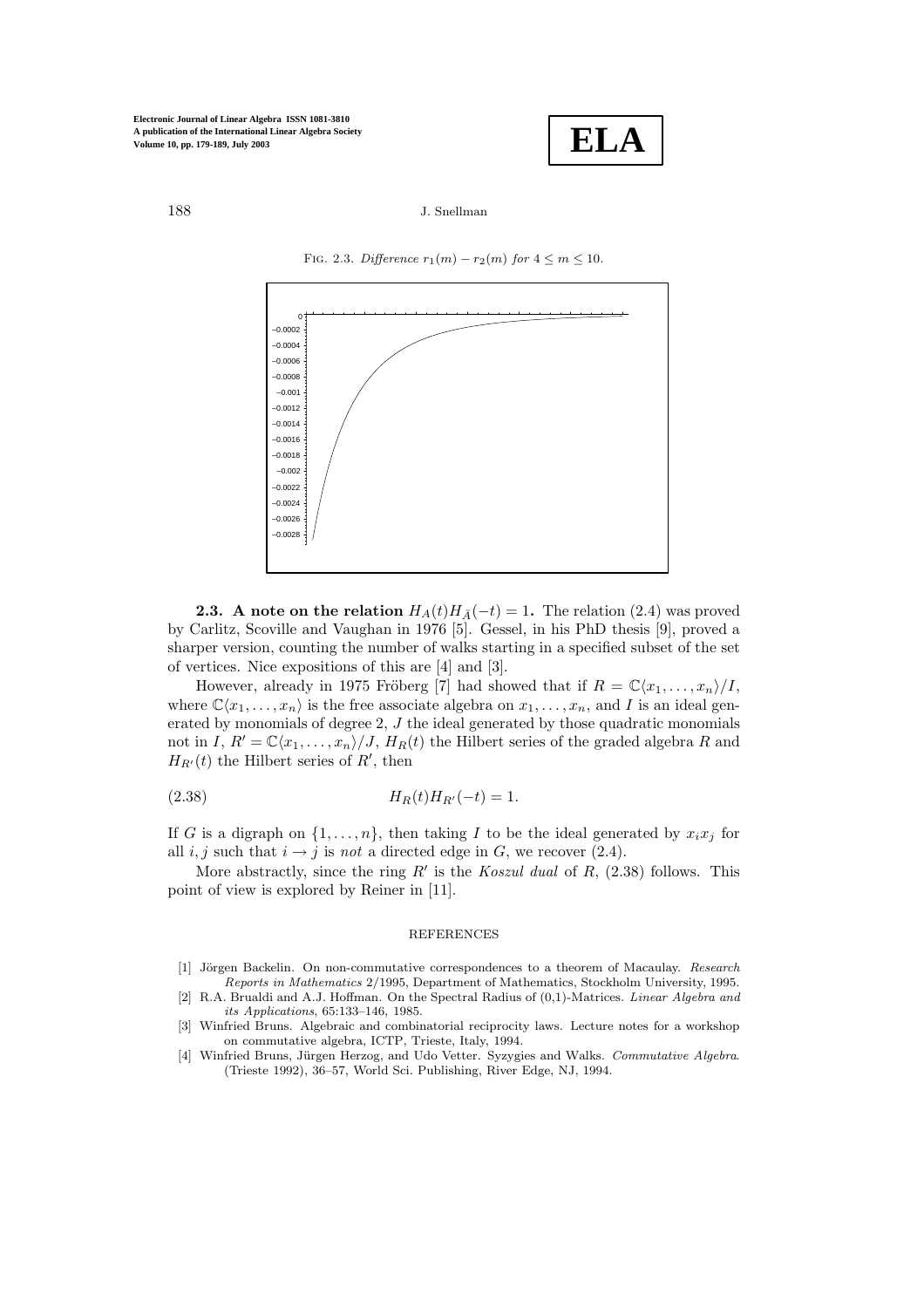

### 188 J.Snellman



FIG. 2.3. Difference  $r_1(m) - r_2(m)$  for  $4 \le m \le 10$ .

**2.3.** A note on the relation  $H_A(t)H_{\bar{A}}(-t)=1$ . The relation (2.4) was proved by Carlitz, Scoville and Vaughan in 1976 [5]. Gessel, in his PhD thesis [9], proved a sharper version, counting the number of walks starting in a specified subset of the set of vertices. Nice expositions of this are [4] and [3].

However, already in 1975 Fröberg [7] had showed that if  $R = \mathbb{C}\langle x_1, \ldots, x_n \rangle / I$ , where  $\mathbb{C}\langle x_1,\ldots,x_n\rangle$  is the free associate algebra on  $x_1,\ldots,x_n$ , and I is an ideal generated by monomials of degree 2, J the ideal generated by those quadratic monomials not in I,  $R' = \mathbb{C}\langle x_1,\ldots,x_n\rangle/J$ ,  $H_R(t)$  the Hilbert series of the graded algebra R and  $H_{R'}(t)$  the Hilbert series of  $R'$ , then

(2.38) 
$$
H_R(t)H_{R'}(-t) = 1.
$$

If G is a digraph on  $\{1,\ldots,n\}$ , then taking I to be the ideal generated by  $x_ix_j$  for all  $i, j$  such that  $i \rightarrow j$  is *not* a directed edge in G, we recover (2.4).

More abstractly, since the ring R' is the *Koszul dual* of R,  $(2.38)$  follows. This point of view is explored by Reiner in [11].

### **REFERENCES**

- [1] Jörgen Backelin. On non-commutative correspondences to a theorem of Macaulay. Research Reports in Mathematics 2/1995, Department of Mathematics, Stockholm University, 1995.
- [2] R.A. Brualdi and A.J. Hoffman. On the Spectral Radius of (0,1)-Matrices. Linear Algebra and its Applications, 65:133–146, 1985.
- [3] Winfried Bruns. Algebraic and combinatorial reciprocity laws. Lecture notes for a workshop on commutative algebra, ICTP, Trieste, Italy, 1994.
- [4] Winfried Bruns, Jürgen Herzog, and Udo Vetter. Syzygies and Walks. Commutative Algebra. (Trieste 1992), 36–57, World Sci.Publishing, River Edge, NJ, 1994.